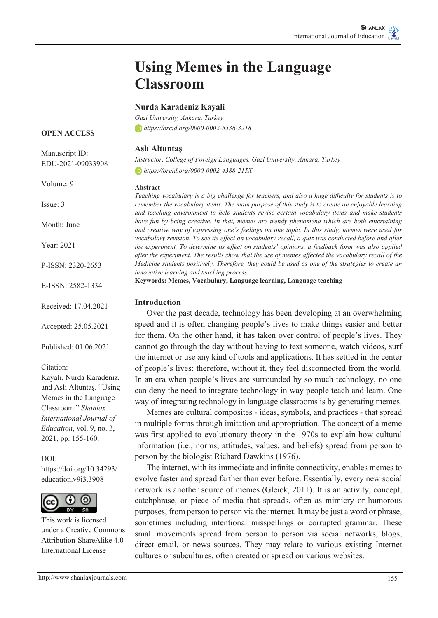# **Using Memes in the Language Classroom**

### **Nurda Karadeniz Kayali**

*Gazi University, Ankara, Turkey https://orcid.org/0000-0002-5536-3218*

#### **OPEN ACCESS**

| Manuscript ID:<br>EDU-2021-09033908 | Aslı Altuntaş<br>Instructor, College of Foreign Languages, Gazi University, Ankara, Turkey<br>$\bullet$ https://orcid.org/0000-0002-4388-215X                                                                                             |  |
|-------------------------------------|-------------------------------------------------------------------------------------------------------------------------------------------------------------------------------------------------------------------------------------------|--|
| Volume: 9                           | <b>Abstract</b>                                                                                                                                                                                                                           |  |
| Issue: 3                            | Teaching vocabulary is a big challenge for teachers, and also a huge diffi<br>remember the vocabulary items. The main purpose of this study is to create<br>and teaching environment to help students revise certain vocabulary iter      |  |
| Month: June                         | have fun by being creative. In that, memes are trendy phenomena which<br>and creative way of expressing one's feelings on one topic. In this study,                                                                                       |  |
| Year: 2021                          | vocabulary revision. To see its effect on vocabulary recall, a quiz was cond<br>the experiment. To determine its effect on students' opinions, a feedback<br>after the experiment. The results show that the use of memes affected the ve |  |
| P-ISSN: 2320-2653                   | Medicine students positively. Therefore, they could be used as one of the.<br>innovative learning and teaching process.                                                                                                                   |  |
| E-ISSN: 2582-1334                   | Keywords: Memes, Vocabulary, Language learning, Language teaching                                                                                                                                                                         |  |
| Received: 17.04.2021                | <b>Introduction</b><br>Over the past decade, technology has been developing at                                                                                                                                                            |  |
| Accepted: 25.05.2021                | speed and it is often changing people's lives to make things<br>for them. On the other hand, it has taken over control of pe                                                                                                              |  |
| Published: 01.06.2021               | cannot go through the day without having to text someone,                                                                                                                                                                                 |  |

#### Citation:

Kayali, Nurda Karadeniz, and Aslı Altuntaş. "Using Memes in the Language Classroom." *Shanlax International Journal of Education*, vol. 9, no. 3, 2021, pp. 155-160.

DOI: https://doi.org/10.34293/ education.v9i3.3908



This work is licensed under a Creative Commons Attribution-ShareAlike 4.0 International License

*Teaching vocabulary is a big challenge for teachers, and also a huge difficulty for students is to remethe vocabulary items. The main purpose of this study is to create an enjoyable learning and teaching environment to help students revise certain vocabulary items and make students have fun by being creative. In that, memes are trendy phenomena which are both entertaining ative way of expressing one's feelings on one topic. In this study, memes were used for vary revision. To see its effect on vocabulary recall, a quiz was conducted before and after the experiment. To determine its effect on students' opinions, a feedback form was also applied after the experiment. The results show that the use of memes affected the vocabulary recall of the Medicine students positively. Therefore, they could be used as one of the strategies to create an ive learning and teaching process.* 

# **Introduction**

over the past decade, technology has been developing at an overwhelming and it is often changing people's lives to make things easier and better em. On the other hand, it has taken over control of people's lives. They go through the day without having to text someone, watch videos, surf the internet or use any kind of tools and applications. It has settled in the center of people's lives; therefore, without it, they feel disconnected from the world. In an era when people's lives are surrounded by so much technology, no one can deny the need to integrate technology in way people teach and learn. One way of integrating technology in language classrooms is by generating memes.

Memes are cultural composites - ideas, symbols, and practices - that spread in multiple forms through imitation and appropriation. The concept of a meme was first applied to evolutionary theory in the 1970s to explain how cultural information (i.e., norms, attitudes, values, and beliefs) spread from person to person by the biologist Richard Dawkins (1976).

The internet, with its immediate and infinite connectivity, enables memes to evolve faster and spread farther than ever before. Essentially, every new social network is another source of memes (Gleick, 2011). It is an activity, concept, catchphrase, or piece of media that spreads, often as mimicry or humorous purposes, from person to person via the internet. It may be just a word or phrase, sometimes including intentional misspellings or corrupted grammar. These small movements spread from person to person via social networks, blogs, direct email, or news sources. They may relate to various existing Internet cultures or subcultures, often created or spread on various websites.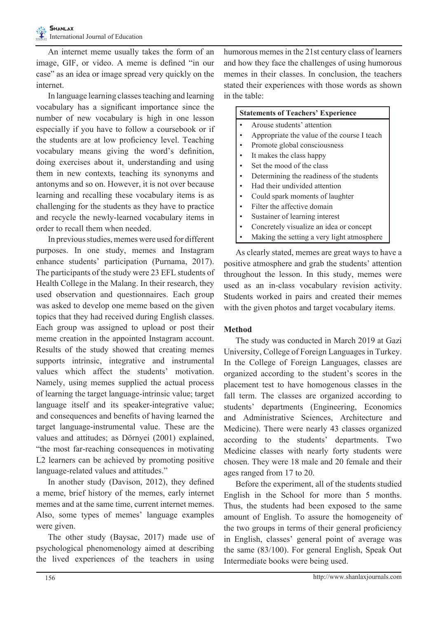An internet meme usually takes the form of an image, GIF, or video. A meme is defined "in our case" as an idea or image spread very quickly on the internet.

In language learning classes teaching and learning vocabulary has a significant importance since the number of new vocabulary is high in one lesson especially if you have to follow a coursebook or if the students are at low proficiency level. Teaching vocabulary means giving the word's definition, doing exercises about it, understanding and using them in new contexts, teaching its synonyms and antonyms and so on. However, it is not over because learning and recalling these vocabulary items is as challenging for the students as they have to practice and recycle the newly-learned vocabulary items in order to recall them when needed.

In previous studies, memes were used for different purposes. In one study, memes and Instagram enhance students' participation (Purnama, 2017). The participants of the study were 23 EFL students of Health College in the Malang. In their research, they used observation and questionnaires. Each group was asked to develop one meme based on the given topics that they had received during English classes. Each group was assigned to upload or post their meme creation in the appointed Instagram account. Results of the study showed that creating memes supports intrinsic, integrative and instrumental values which affect the students' motivation. Namely, using memes supplied the actual process of learning the target language-intrinsic value; target language itself and its speaker-integrative value; and consequences and benefits of having learned the target language-instrumental value. These are the values and attitudes; as Dörnyei (2001) explained, "the most far-reaching consequences in motivating L2 learners can be achieved by promoting positive language-related values and attitudes."

In another study (Davison, 2012), they defined a meme, brief history of the memes, early internet memes and at the same time, current internet memes. Also, some types of memes' language examples were given.

The other study (Baysac, 2017) made use of psychological phenomenology aimed at describing the lived experiences of the teachers in using

humorous memes in the 21st century class of learners and how they face the challenges of using humorous memes in their classes. In conclusion, the teachers stated their experiences with those words as shown in the table:

| <b>Statements of Teachers' Experience</b> |                                                                                                                 |
|-------------------------------------------|-----------------------------------------------------------------------------------------------------------------|
| $\bullet$                                 | Arouse students' attention                                                                                      |
|                                           | Appropriate the value of the course I teach                                                                     |
| $\bullet$                                 | Promote global consciousness                                                                                    |
|                                           | Tarrier of the card of the control of the control of the control of the control of the control of the control o |

- It makes the class happy
- Set the mood of the class
- Determining the readiness of the students
- Had their undivided attention
- Could spark moments of laughter
- Filter the affective domain
- Sustainer of learning interest
- Concretely visualize an idea or concept
- Making the setting a very light atmosphere

As clearly stated, memes are great ways to have a positive atmosphere and grab the students' attention throughout the lesson. In this study, memes were used as an in-class vocabulary revision activity. Students worked in pairs and created their memes with the given photos and target vocabulary items.

#### **Method**

The study was conducted in March 2019 at Gazi University, College of Foreign Languages in Turkey. In the College of Foreign Languages, classes are organized according to the student's scores in the placement test to have homogenous classes in the fall term. The classes are organized according to students' departments (Engineering, Economics and Administrative Sciences, Architecture and Medicine). There were nearly 43 classes organized according to the students' departments. Two Medicine classes with nearly forty students were chosen. They were 18 male and 20 female and their ages ranged from 17 to 20.

Before the experiment, all of the students studied English in the School for more than 5 months. Thus, the students had been exposed to the same amount of English. To assure the homogeneity of the two groups in terms of their general proficiency in English, classes' general point of average was the same (83/100). For general English, Speak Out Intermediate books were being used.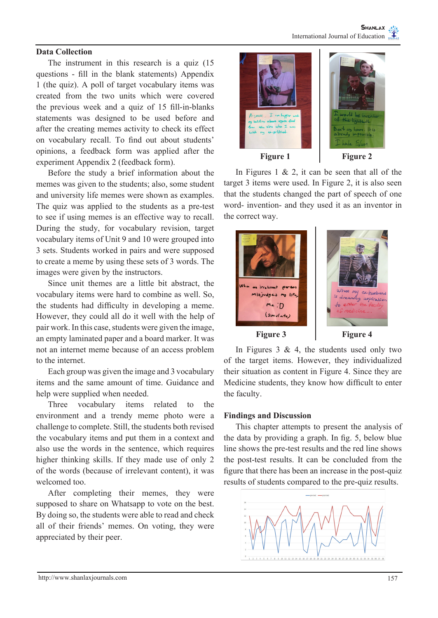### **Data Collection**

The instrument in this research is a quiz (15 questions - fill in the blank statements) Appendix 1 (the quiz). A poll of target vocabulary items was created from the two units which were covered the previous week and a quiz of 15 fill-in-blanks statements was designed to be used before and after the creating memes activity to check its effect on vocabulary recall. To find out about students' opinions, a feedback form was applied after the experiment Appendix 2 (feedback form).

Before the study a brief information about the memes was given to the students; also, some student and university life memes were shown as examples. The quiz was applied to the students as a pre-test to see if using memes is an effective way to recall. During the study, for vocabulary revision, target vocabulary items of Unit 9 and 10 were grouped into 3 sets. Students worked in pairs and were supposed to create a meme by using these sets of 3 words. The images were given by the instructors.

Since unit themes are a little bit abstract, the vocabulary items were hard to combine as well. So, the students had difficulty in developing a meme. However, they could all do it well with the help of pair work. In this case, students were given the image, an empty laminated paper and a board marker. It was not an internet meme because of an access problem to the internet.

Each group was given the image and 3 vocabulary items and the same amount of time. Guidance and help were supplied when needed.

Three vocabulary items related to the environment and a trendy meme photo were a challenge to complete. Still, the students both revised the vocabulary items and put them in a context and also use the words in the sentence, which requires higher thinking skills. If they made use of only 2 of the words (because of irrelevant content), it was welcomed too.

After completing their memes, they were supposed to share on Whatsapp to vote on the best. By doing so, the students were able to read and check all of their friends' memes. On voting, they were appreciated by their peer.



In Figures 1  $\&$  2, it can be seen that all of the target 3 items were used. In Figure 2, it is also seen that the students changed the part of speech of one word- invention- and they used it as an inventor in the correct way.



In Figures  $3 \& 4$ , the students used only two of the target items. However, they individualized their situation as content in Figure 4. Since they are Medicine students, they know how difficult to enter the faculty.

# **Findings and Discussion**

This chapter attempts to present the analysis of the data by providing a graph. In fig. 5, below blue line shows the pre-test results and the red line shows the post-test results. It can be concluded from the figure that there has been an increase in the post-quiz results of students compared to the pre-quiz results.

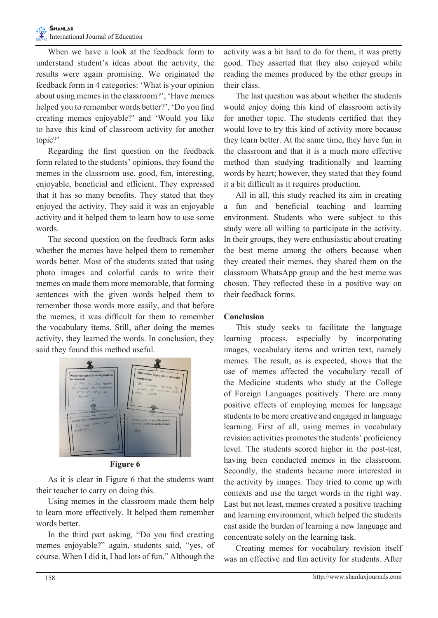When we have a look at the feedback form to understand student's ideas about the activity, the results were again promising. We originated the feedback form in 4 categories: 'What is your opinion about using memes in the classroom?', 'Have memes helped you to remember words better?', 'Do you find creating memes enjoyable?' and 'Would you like to have this kind of classroom activity for another topic?'

Regarding the first question on the feedback form related to the students' opinions, they found the memes in the classroom use, good, fun, interesting, enjoyable, beneficial and efficient. They expressed that it has so many benefits. They stated that they enjoyed the activity. They said it was an enjoyable activity and it helped them to learn how to use some words.

The second question on the feedback form asks whether the memes have helped them to remember words better. Most of the students stated that using photo images and colorful cards to write their memes on made them more memorable, that forming sentences with the given words helped them to remember those words more easily, and that before the memes, it was difficult for them to remember the vocabulary items. Still, after doing the memes activity, they learned the words. In conclusion, they said they found this method useful.



**Figure 6** 

As it is clear in Figure 6 that the students want their teacher to carry on doing this.

Using memes in the classroom made them help to learn more effectively. It helped them remember words better.

In the third part asking, "Do you find creating memes enjoyable?" again, students said, "yes, of course. When I did it, I had lots of fun." Although the

activity was a bit hard to do for them, it was pretty good. They asserted that they also enjoyed while reading the memes produced by the other groups in their class.

The last question was about whether the students would enjoy doing this kind of classroom activity for another topic. The students certified that they would love to try this kind of activity more because they learn better. At the same time, they have fun in the classroom and that it is a much more effective method than studying traditionally and learning words by heart; however, they stated that they found it a bit difficult as it requires production.

All in all, this study reached its aim in creating a fun and beneficial teaching and learning environment. Students who were subject to this study were all willing to participate in the activity. In their groups, they were enthusiastic about creating the best meme among the others because when they created their memes, they shared them on the classroom WhatsApp group and the best meme was chosen. They reflected these in a positive way on their feedback forms.

# **Conclusion**

This study seeks to facilitate the language learning process, especially by incorporating images, vocabulary items and written text, namely memes. The result, as is expected, shows that the use of memes affected the vocabulary recall of the Medicine students who study at the College of Foreign Languages positively. There are many positive effects of employing memes for language students to be more creative and engaged in language learning. First of all, using memes in vocabulary revision activities promotes the students' proficiency level. The students scored higher in the post-test, having been conducted memes in the classroom. Secondly, the students became more interested in the activity by images. They tried to come up with contexts and use the target words in the right way. Last but not least, memes created a positive teaching and learning environment, which helped the students cast aside the burden of learning a new language and concentrate solely on the learning task.

Creating memes for vocabulary revision itself was an effective and fun activity for students. After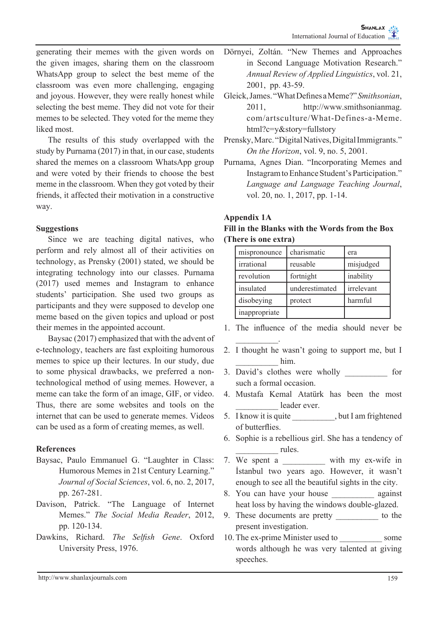generating their memes with the given words on the given images, sharing them on the classroom WhatsApp group to select the best meme of the classroom was even more challenging, engaging and joyous. However, they were really honest while selecting the best meme. They did not vote for their memes to be selected. They voted for the meme they liked most.

The results of this study overlapped with the study by Purnama (2017) in that, in our case, students shared the memes on a classroom WhatsApp group and were voted by their friends to choose the best meme in the classroom. When they got voted by their friends, it affected their motivation in a constructive way.

# **Suggestions**

Since we are teaching digital natives, who perform and rely almost all of their activities on technology, as Prensky (2001) stated, we should be integrating technology into our classes. Purnama (2017) used memes and Instagram to enhance students' participation. She used two groups as participants and they were supposed to develop one meme based on the given topics and upload or post their memes in the appointed account.

Baysac (2017) emphasized that with the advent of e-technology, teachers are fast exploiting humorous memes to spice up their lectures. In our study, due to some physical drawbacks, we preferred a nontechnological method of using memes. However, a meme can take the form of an image, GIF, or video. Thus, there are some websites and tools on the internet that can be used to generate memes. Videos can be used as a form of creating memes, as well.

# **References**

- Baysac, Paulo Emmanuel G. "Laughter in Class: Humorous Memes in 21st Century Learning." *Journal of Social Sciences*, vol. 6, no. 2, 2017, pp. 267-281.
- Davison, Patrick. "The Language of Internet Memes." *The Social Media Reader*, 2012, pp. 120-134.
- Dawkins, Richard. *The Selfish Gene*. Oxford University Press, 1976.
- Dörnyei, Zoltán. "New Themes and Approaches in Second Language Motivation Research." *Annual Review of Applied Linguistics*, vol. 21, 2001, pp. 43-59.
- Gleick, James. "What Defines a Meme?" *Smithsonian*, 2011, http://www.smithsonianmag. com/artsculture/What-Defines-a-Meme. html?c=y&story=fullstory
- Prensky, Marc. "Digital Natives, Digital Immigrants." *On the Horizon*, vol. 9, no. 5, 2001.
- Purnama, Agnes Dian. "Incorporating Memes and Instagram to Enhance Student's Participation." *Language and Language Teaching Journal*, vol. 20, no. 1, 2017, pp. 1-14.

# **Appendix 1A**

 $\frac{1}{2}$  ,  $\frac{1}{2}$  ,  $\frac{1}{2}$  ,  $\frac{1}{2}$ 

# **Fill in the Blanks with the Words from the Box (There is one extra)**

| mispronounce  | charismatic    | era        |
|---------------|----------------|------------|
| irrational    | reusable       | misjudged  |
| revolution    | fortnight      | inability  |
| insulated     | underestimated | irrelevant |
| disobeying    | protect        | harmful    |
| inappropriate |                |            |

- 1. The influence of the media should never be
- 2. I thought he wasn't going to support me, but I \_\_\_\_\_\_\_\_\_\_ him.
- 3. David's clothes were wholly \_\_\_\_\_\_\_\_\_\_ for such a formal occasion.
- 4. Mustafa Kemal Atatürk has been the most leader ever.
- 5. I know it is quite , but I am frightened of butterflies.
- 6. Sophie is a rebellious girl. She has a tendency of \_\_\_\_\_\_\_\_\_\_ rules.
- 7. We spent a with my ex-wife in İstanbul two years ago. However, it wasn't enough to see all the beautiful sights in the city.
- 8. You can have your house against heat loss by having the windows double-glazed.
- 9. These documents are pretty \_\_\_\_\_\_\_\_\_\_ to the present investigation.
- 10. The ex-prime Minister used to some words although he was very talented at giving speeches.